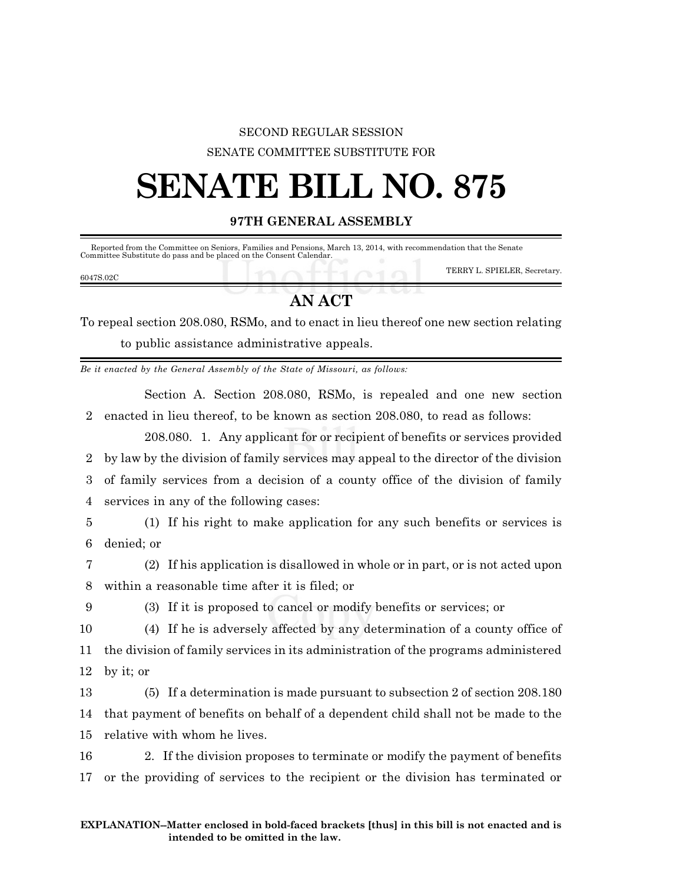### SECOND REGULAR SESSION

SENATE COMMITTEE SUBSTITUTE FOR

# **SENATE BILL NO. 875**

**97TH GENERAL ASSEMBLY**

 Reported from the Committee on Seniors, Families and Pensions, March 13, 2014, with recommendation that the Senate Committee Substitute do pass and be placed on the Consent Calendar.

|           |  | TERRY L. SPIELER, Secretary. |
|-----------|--|------------------------------|
| 6047S.02C |  |                              |

## **AN ACT**

To repeal section 208.080, RSMo, and to enact in lieu thereof one new section relating to public assistance administrative appeals.

*Be it enacted by the General Assembly of the State of Missouri, as follows:*

Section A. Section 208.080, RSMo, is repealed and one new section 2 enacted in lieu thereof, to be known as section 208.080, to read as follows:

208.080. 1. Any applicant for or recipient of benefits or services provided by law by the division of family services may appeal to the director of the division of family services from a decision of a county office of the division of family services in any of the following cases:

5 (1) If his right to make application for any such benefits or services is 6 denied; or

7 (2) If his application is disallowed in whole or in part, or is not acted upon 8 within a reasonable time after it is filed; or

9 (3) If it is proposed to cancel or modify benefits or services; or

10 (4) If he is adversely affected by any determination of a county office of 11 the division of family services in its administration of the programs administered 12 by it; or

13 (5) If a determination is made pursuant to subsection 2 of section 208.180 14 that payment of benefits on behalf of a dependent child shall not be made to the 15 relative with whom he lives.

16 2. If the division proposes to terminate or modify the payment of benefits 17 or the providing of services to the recipient or the division has terminated or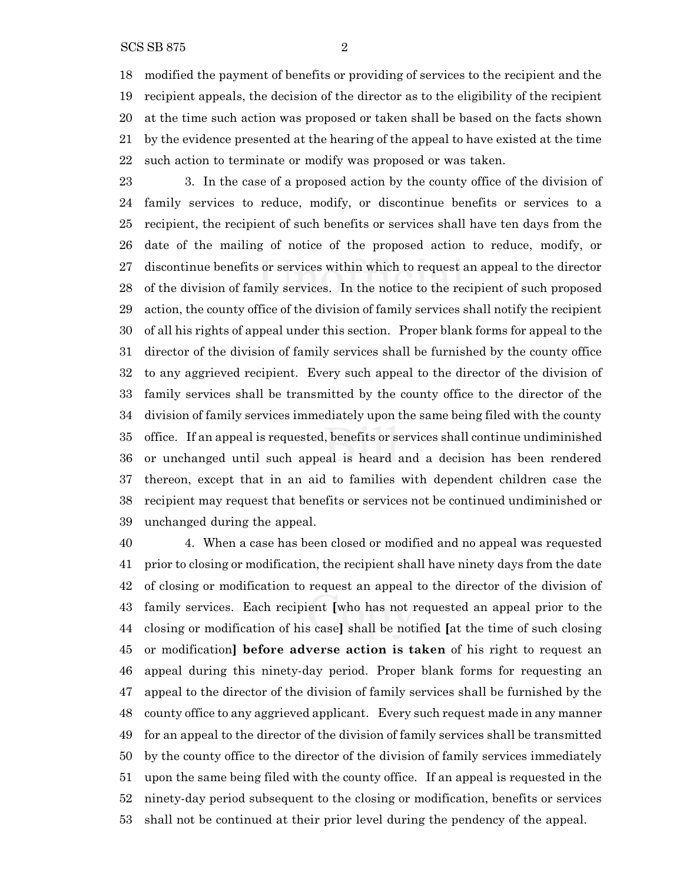modified the payment of benefits or providing of services to the recipient and the recipient appeals, the decision of the director as to the eligibility of the recipient at the time such action was proposed or taken shall be based on the facts shown by the evidence presented at the hearing of the appeal to have existed at the time such action to terminate or modify was proposed or was taken.

 3. In the case of a proposed action by the county office of the division of family services to reduce, modify, or discontinue benefits or services to a recipient, the recipient of such benefits or services shall have ten days from the date of the mailing of notice of the proposed action to reduce, modify, or discontinue benefits or services within which to request an appeal to the director of the division of family services. In the notice to the recipient of such proposed action, the county office of the division of family services shall notify the recipient of all his rights of appeal under this section. Proper blank forms for appeal to the director of the division of family services shall be furnished by the county office to any aggrieved recipient. Every such appeal to the director of the division of family services shall be transmitted by the county office to the director of the division of family services immediately upon the same being filed with the county office. If an appeal is requested, benefits or services shall continue undiminished or unchanged until such appeal is heard and a decision has been rendered thereon, except that in an aid to families with dependent children case the recipient may request that benefits or services not be continued undiminished or unchanged during the appeal.

 4. When a case has been closed or modified and no appeal was requested prior to closing or modification, the recipient shall have ninety days from the date of closing or modification to request an appeal to the director of the division of family services. Each recipient **[**who has not requested an appeal prior to the closing or modification of his case**]** shall be notified **[**at the time of such closing or modification**] before adverse action is taken** of his right to request an appeal during this ninety-day period. Proper blank forms for requesting an appeal to the director of the division of family services shall be furnished by the county office to any aggrieved applicant. Every such request made in any manner for an appeal to the director of the division of family services shall be transmitted by the county office to the director of the division of family services immediately upon the same being filed with the county office. If an appeal is requested in the ninety-day period subsequent to the closing or modification, benefits or services shall not be continued at their prior level during the pendency of the appeal.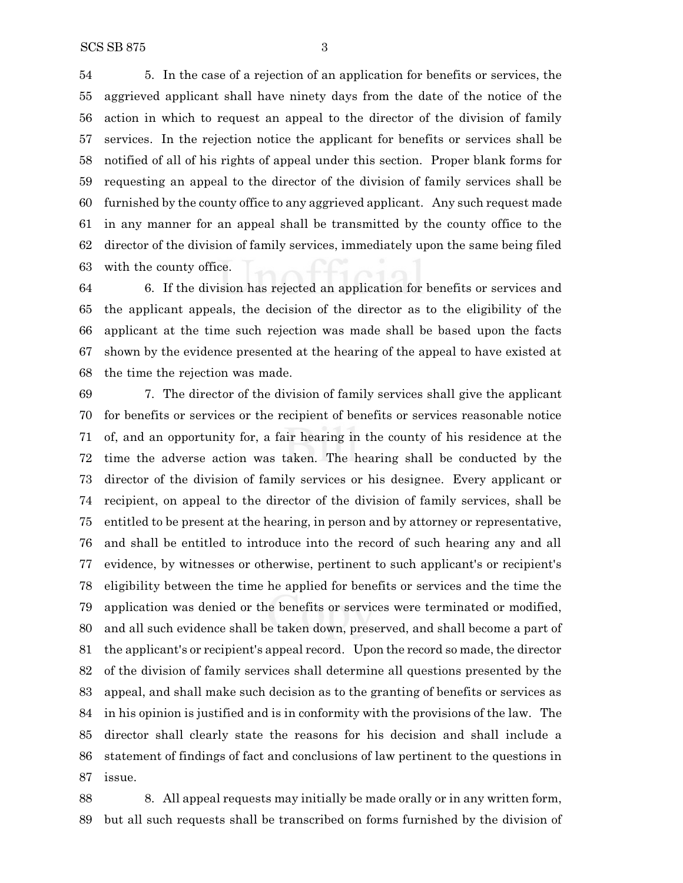5. In the case of a rejection of an application for benefits or services, the aggrieved applicant shall have ninety days from the date of the notice of the action in which to request an appeal to the director of the division of family services. In the rejection notice the applicant for benefits or services shall be notified of all of his rights of appeal under this section. Proper blank forms for requesting an appeal to the director of the division of family services shall be furnished by the county office to any aggrieved applicant. Any such request made in any manner for an appeal shall be transmitted by the county office to the director of the division of family services, immediately upon the same being filed with the county office.

 6. If the division has rejected an application for benefits or services and the applicant appeals, the decision of the director as to the eligibility of the applicant at the time such rejection was made shall be based upon the facts shown by the evidence presented at the hearing of the appeal to have existed at the time the rejection was made.

 7. The director of the division of family services shall give the applicant for benefits or services or the recipient of benefits or services reasonable notice of, and an opportunity for, a fair hearing in the county of his residence at the time the adverse action was taken. The hearing shall be conducted by the director of the division of family services or his designee. Every applicant or recipient, on appeal to the director of the division of family services, shall be entitled to be present at the hearing, in person and by attorney or representative, and shall be entitled to introduce into the record of such hearing any and all evidence, by witnesses or otherwise, pertinent to such applicant's or recipient's eligibility between the time he applied for benefits or services and the time the application was denied or the benefits or services were terminated or modified, and all such evidence shall be taken down, preserved, and shall become a part of the applicant's or recipient's appeal record. Upon the record so made, the director of the division of family services shall determine all questions presented by the appeal, and shall make such decision as to the granting of benefits or services as in his opinion is justified and is in conformity with the provisions of the law. The director shall clearly state the reasons for his decision and shall include a statement of findings of fact and conclusions of law pertinent to the questions in issue.

 8. All appeal requests may initially be made orally or in any written form, but all such requests shall be transcribed on forms furnished by the division of